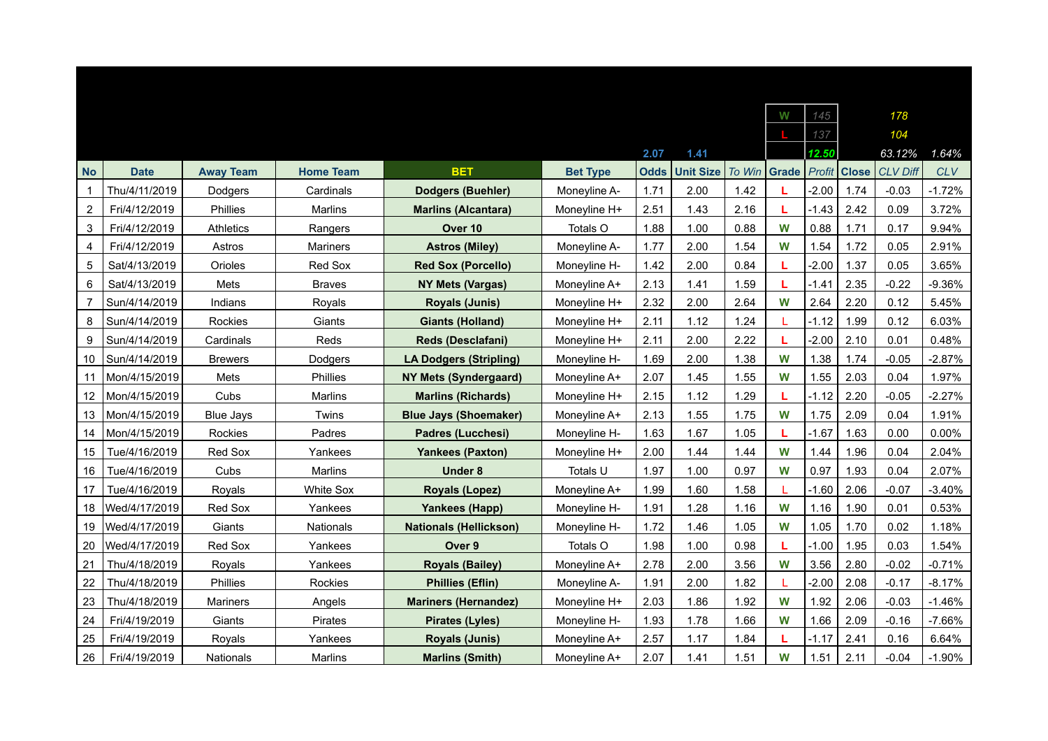|                |               |                  |                  |                               |                 |             |                  |        | w            | 145     |              | 178             |            |
|----------------|---------------|------------------|------------------|-------------------------------|-----------------|-------------|------------------|--------|--------------|---------|--------------|-----------------|------------|
|                |               |                  |                  |                               |                 |             |                  |        |              | 137     |              | 104             |            |
|                |               |                  |                  |                               |                 | 2.07        | 1.41             |        |              | 12.50   |              | 63.12%          | 1.64%      |
| <b>No</b>      | <b>Date</b>   | <b>Away Team</b> | <b>Home Team</b> | <b>BET</b>                    | <b>Bet Type</b> | <b>Odds</b> | <b>Unit Size</b> | To Win | <b>Grade</b> | Profit  | <b>Close</b> | <b>CLV Diff</b> | <b>CLV</b> |
| 1              | Thu/4/11/2019 | Dodgers          | Cardinals        | <b>Dodgers (Buehler)</b>      | Moneyline A-    | 1.71        | 2.00             | 1.42   |              | $-2.00$ | 1.74         | $-0.03$         | $-1.72%$   |
| $\overline{2}$ | Fri/4/12/2019 | Phillies         | Marlins          | <b>Marlins (Alcantara)</b>    | Moneyline H+    | 2.51        | 1.43             | 2.16   | L            | $-1.43$ | 2.42         | 0.09            | 3.72%      |
| 3              | Fri/4/12/2019 | Athletics        | Rangers          | Over 10                       | Totals O        | 1.88        | 1.00             | 0.88   | W            | 0.88    | 1.71         | 0.17            | 9.94%      |
| $\overline{4}$ | Fri/4/12/2019 | Astros           | Mariners         | <b>Astros (Miley)</b>         | Moneyline A-    | 1.77        | 2.00             | 1.54   | W            | 1.54    | 1.72         | 0.05            | 2.91%      |
| 5              | Sat/4/13/2019 | Orioles          | Red Sox          | <b>Red Sox (Porcello)</b>     | Moneyline H-    | 1.42        | 2.00             | 0.84   | L            | $-2.00$ | 1.37         | 0.05            | 3.65%      |
| 6              | Sat/4/13/2019 | Mets             | <b>Braves</b>    | <b>NY Mets (Vargas)</b>       | Moneyline A+    | 2.13        | 1.41             | 1.59   | L            | $-1.41$ | 2.35         | $-0.22$         | $-9.36%$   |
| $\overline{7}$ | Sun/4/14/2019 | Indians          | Royals           | <b>Royals (Junis)</b>         | Moneyline H+    | 2.32        | 2.00             | 2.64   | W            | 2.64    | 2.20         | 0.12            | 5.45%      |
| 8              | Sun/4/14/2019 | Rockies          | Giants           | <b>Giants (Holland)</b>       | Moneyline H+    | 2.11        | 1.12             | 1.24   |              | $-1.12$ | 1.99         | 0.12            | 6.03%      |
| 9              | Sun/4/14/2019 | Cardinals        | Reds             | <b>Reds (Desclafani)</b>      | Moneyline H+    | 2.11        | 2.00             | 2.22   | L            | $-2.00$ | 2.10         | 0.01            | 0.48%      |
| 10             | Sun/4/14/2019 | <b>Brewers</b>   | Dodgers          | <b>LA Dodgers (Stripling)</b> | Moneyline H-    | 1.69        | 2.00             | 1.38   | W            | 1.38    | 1.74         | $-0.05$         | $-2.87%$   |
| 11             | Mon/4/15/2019 | Mets             | <b>Phillies</b>  | <b>NY Mets (Syndergaard)</b>  | Moneyline A+    | 2.07        | 1.45             | 1.55   | W            | 1.55    | 2.03         | 0.04            | 1.97%      |
| 12             | Mon/4/15/2019 | Cubs             | Marlins          | <b>Marlins (Richards)</b>     | Moneyline H+    | 2.15        | 1.12             | 1.29   | L            | $-1.12$ | 2.20         | $-0.05$         | $-2.27%$   |
| 13             | Mon/4/15/2019 | <b>Blue Jays</b> | Twins            | <b>Blue Jays (Shoemaker)</b>  | Moneyline A+    | 2.13        | 1.55             | 1.75   | W            | 1.75    | 2.09         | 0.04            | 1.91%      |
| 14             | Mon/4/15/2019 | Rockies          | Padres           | <b>Padres (Lucchesi)</b>      | Moneyline H-    | 1.63        | 1.67             | 1.05   | L            | $-1.67$ | 1.63         | 0.00            | 0.00%      |
| 15             | Tue/4/16/2019 | <b>Red Sox</b>   | Yankees          | <b>Yankees (Paxton)</b>       | Moneyline H+    | 2.00        | 1.44             | 1.44   | W            | 1.44    | 1.96         | 0.04            | 2.04%      |
| 16             | Tue/4/16/2019 | Cubs             | Marlins          | <b>Under 8</b>                | Totals U        | 1.97        | 1.00             | 0.97   | W            | 0.97    | 1.93         | 0.04            | 2.07%      |
| 17             | Tue/4/16/2019 | Royals           | <b>White Sox</b> | <b>Royals (Lopez)</b>         | Moneyline A+    | 1.99        | 1.60             | 1.58   | т.           | $-1.60$ | 2.06         | $-0.07$         | $-3.40%$   |
| 18             | Wed/4/17/2019 | Red Sox          | Yankees          | Yankees (Happ)                | Moneyline H-    | 1.91        | 1.28             | 1.16   | W            | 1.16    | 1.90         | 0.01            | 0.53%      |
| 19             | Wed/4/17/2019 | Giants           | <b>Nationals</b> | <b>Nationals (Hellickson)</b> | Moneyline H-    | 1.72        | 1.46             | 1.05   | W            | 1.05    | 1.70         | 0.02            | 1.18%      |
| 20             | Wed/4/17/2019 | Red Sox          | Yankees          | Over 9                        | Totals O        | 1.98        | 1.00             | 0.98   | L            | $-1.00$ | 1.95         | 0.03            | 1.54%      |
| 21             | Thu/4/18/2019 | Royals           | Yankees          | <b>Royals (Bailey)</b>        | Moneyline A+    | 2.78        | 2.00             | 3.56   | W            | 3.56    | 2.80         | $-0.02$         | $-0.71%$   |
| 22             | Thu/4/18/2019 | Phillies         | Rockies          | <b>Phillies (Eflin)</b>       | Moneyline A-    | 1.91        | 2.00             | 1.82   |              | $-2.00$ | 2.08         | $-0.17$         | $-8.17%$   |
| 23             | Thu/4/18/2019 | <b>Mariners</b>  | Angels           | <b>Mariners (Hernandez)</b>   | Moneyline H+    | 2.03        | 1.86             | 1.92   | W            | 1.92    | 2.06         | $-0.03$         | $-1.46%$   |
| 24             | Fri/4/19/2019 | Giants           | Pirates          | <b>Pirates (Lyles)</b>        | Moneyline H-    | 1.93        | 1.78             | 1.66   | W            | 1.66    | 2.09         | $-0.16$         | $-7.66%$   |
| 25             | Fri/4/19/2019 | Royals           | Yankees          | <b>Royals (Junis)</b>         | Moneyline A+    | 2.57        | 1.17             | 1.84   | L            | $-1.17$ | 2.41         | 0.16            | 6.64%      |
| 26             | Fri/4/19/2019 | <b>Nationals</b> | Marlins          | <b>Marlins (Smith)</b>        | Moneyline A+    | 2.07        | 1.41             | 1.51   | W            | 1.51    | 2.11         | $-0.04$         | $-1.90%$   |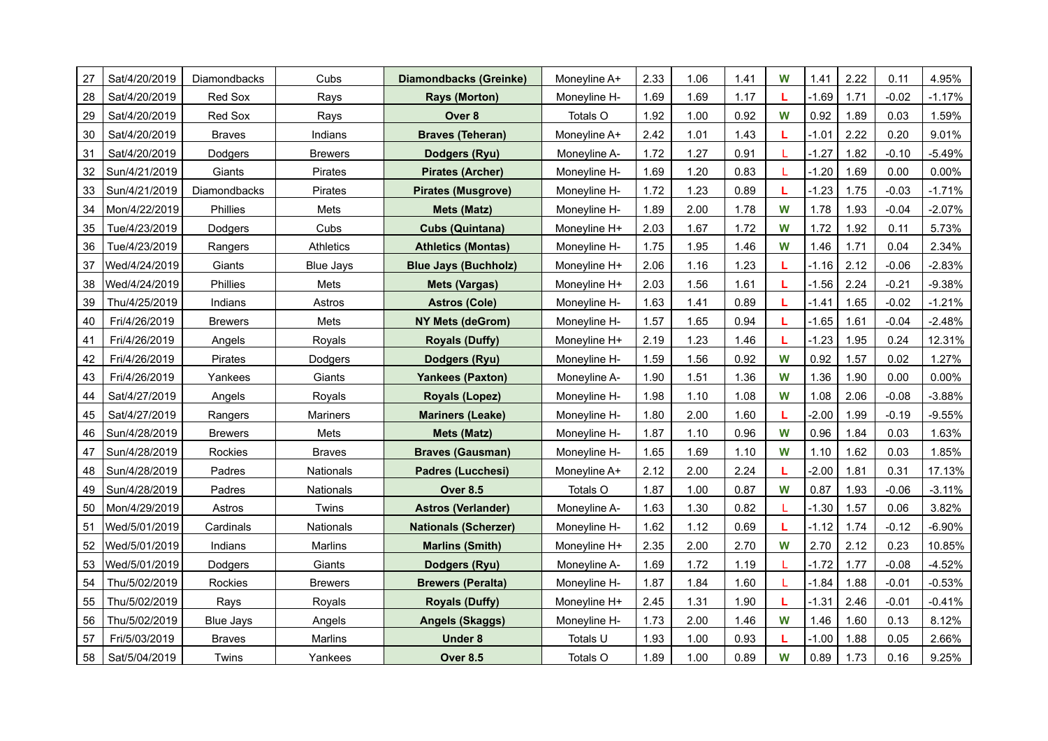| 27 | Sat/4/20/2019 | Diamondbacks     | Cubs             | <b>Diamondbacks (Greinke)</b> | Moneyline A+ | 2.33 | 1.06 | 1.41 | W | 1.41    | 2.22 | 0.11    | 4.95%     |
|----|---------------|------------------|------------------|-------------------------------|--------------|------|------|------|---|---------|------|---------|-----------|
| 28 | Sat/4/20/2019 | Red Sox          | Rays             | <b>Rays (Morton)</b>          | Moneyline H- | 1.69 | 1.69 | 1.17 |   | $-1.69$ | 1.71 | $-0.02$ | $-1.17%$  |
| 29 | Sat/4/20/2019 | Red Sox          | Rays             | Over 8                        | Totals O     | 1.92 | 1.00 | 0.92 | W | 0.92    | 1.89 | 0.03    | 1.59%     |
| 30 | Sat/4/20/2019 | <b>Braves</b>    | Indians          | <b>Braves (Teheran)</b>       | Moneyline A+ | 2.42 | 1.01 | 1.43 | L | $-1.01$ | 2.22 | 0.20    | 9.01%     |
| 31 | Sat/4/20/2019 | Dodgers          | <b>Brewers</b>   | <b>Dodgers (Ryu)</b>          | Moneyline A- | 1.72 | 1.27 | 0.91 |   | $-1.27$ | 1.82 | $-0.10$ | $-5.49%$  |
| 32 | Sun/4/21/2019 | Giants           | Pirates          | <b>Pirates (Archer)</b>       | Moneyline H- | 1.69 | 1.20 | 0.83 |   | $-1.20$ | 1.69 | 0.00    | $0.00\%$  |
| 33 | Sun/4/21/2019 | Diamondbacks     | Pirates          | <b>Pirates (Musgrove)</b>     | Moneyline H- | 1.72 | 1.23 | 0.89 | L | $-1.23$ | 1.75 | $-0.03$ | $-1.71%$  |
| 34 | Mon/4/22/2019 | Phillies         | Mets             | Mets (Matz)                   | Moneyline H- | 1.89 | 2.00 | 1.78 | W | 1.78    | 1.93 | $-0.04$ | $-2.07\%$ |
| 35 | Tue/4/23/2019 | Dodgers          | Cubs             | <b>Cubs (Quintana)</b>        | Moneyline H+ | 2.03 | 1.67 | 1.72 | W | 1.72    | 1.92 | 0.11    | 5.73%     |
| 36 | Tue/4/23/2019 | Rangers          | Athletics        | <b>Athletics (Montas)</b>     | Moneyline H- | 1.75 | 1.95 | 1.46 | W | 1.46    | 1.71 | 0.04    | 2.34%     |
| 37 | Wed/4/24/2019 | Giants           | <b>Blue Jays</b> | <b>Blue Jays (Buchholz)</b>   | Moneyline H+ | 2.06 | 1.16 | 1.23 | L | $-1.16$ | 2.12 | $-0.06$ | $-2.83%$  |
| 38 | Wed/4/24/2019 | Phillies         | Mets             | <b>Mets (Vargas)</b>          | Moneyline H+ | 2.03 | 1.56 | 1.61 | L | $-1.56$ | 2.24 | $-0.21$ | $-9.38%$  |
| 39 | Thu/4/25/2019 | Indians          | Astros           | <b>Astros (Cole)</b>          | Moneyline H- | 1.63 | 1.41 | 0.89 | L | $-1.41$ | 1.65 | $-0.02$ | $-1.21%$  |
| 40 | Fri/4/26/2019 | <b>Brewers</b>   | Mets             | <b>NY Mets (deGrom)</b>       | Moneyline H- | 1.57 | 1.65 | 0.94 | L | $-1.65$ | 1.61 | $-0.04$ | $-2.48%$  |
| 41 | Fri/4/26/2019 | Angels           | Royals           | <b>Royals (Duffy)</b>         | Moneyline H+ | 2.19 | 1.23 | 1.46 | L | $-1.23$ | 1.95 | 0.24    | 12.31%    |
| 42 | Fri/4/26/2019 | Pirates          | Dodgers          | Dodgers (Ryu)                 | Moneyline H- | 1.59 | 1.56 | 0.92 | W | 0.92    | 1.57 | 0.02    | 1.27%     |
| 43 | Fri/4/26/2019 | Yankees          | Giants           | <b>Yankees (Paxton)</b>       | Moneyline A- | 1.90 | 1.51 | 1.36 | W | 1.36    | 1.90 | 0.00    | 0.00%     |
| 44 | Sat/4/27/2019 | Angels           | Royals           | <b>Royals (Lopez)</b>         | Moneyline H- | 1.98 | 1.10 | 1.08 | W | 1.08    | 2.06 | $-0.08$ | $-3.88%$  |
| 45 | Sat/4/27/2019 | Rangers          | <b>Mariners</b>  | <b>Mariners (Leake)</b>       | Moneyline H- | 1.80 | 2.00 | 1.60 | L | $-2.00$ | 1.99 | $-0.19$ | $-9.55%$  |
| 46 | Sun/4/28/2019 | <b>Brewers</b>   | Mets             | Mets (Matz)                   | Moneyline H- | 1.87 | 1.10 | 0.96 | W | 0.96    | 1.84 | 0.03    | 1.63%     |
| 47 | Sun/4/28/2019 | Rockies          | <b>Braves</b>    | <b>Braves (Gausman)</b>       | Moneyline H- | 1.65 | 1.69 | 1.10 | W | 1.10    | 1.62 | 0.03    | 1.85%     |
| 48 | Sun/4/28/2019 | Padres           | <b>Nationals</b> | <b>Padres (Lucchesi)</b>      | Moneyline A+ | 2.12 | 2.00 | 2.24 | L | $-2.00$ | 1.81 | 0.31    | 17.13%    |
| 49 | Sun/4/28/2019 | Padres           | Nationals        | <b>Over 8.5</b>               | Totals O     | 1.87 | 1.00 | 0.87 | W | 0.87    | 1.93 | $-0.06$ | $-3.11%$  |
| 50 | Mon/4/29/2019 | Astros           | Twins            | <b>Astros (Verlander)</b>     | Moneyline A- | 1.63 | 1.30 | 0.82 |   | $-1.30$ | 1.57 | 0.06    | 3.82%     |
| 51 | Wed/5/01/2019 | Cardinals        | Nationals        | <b>Nationals (Scherzer)</b>   | Moneyline H- | 1.62 | 1.12 | 0.69 | L | $-1.12$ | 1.74 | $-0.12$ | $-6.90\%$ |
| 52 | Wed/5/01/2019 | Indians          | Marlins          | <b>Marlins (Smith)</b>        | Moneyline H+ | 2.35 | 2.00 | 2.70 | W | 2.70    | 2.12 | 0.23    | 10.85%    |
| 53 | Wed/5/01/2019 | Dodgers          | Giants           | Dodgers (Ryu)                 | Moneyline A- | 1.69 | 1.72 | 1.19 |   | $-1.72$ | 1.77 | $-0.08$ | $-4.52%$  |
| 54 | Thu/5/02/2019 | Rockies          | <b>Brewers</b>   | <b>Brewers (Peralta)</b>      | Moneyline H- | 1.87 | 1.84 | 1.60 | L | $-1.84$ | 1.88 | $-0.01$ | $-0.53%$  |
| 55 | Thu/5/02/2019 | Rays             | Royals           | <b>Royals (Duffy)</b>         | Moneyline H+ | 2.45 | 1.31 | 1.90 | L | $-1.31$ | 2.46 | $-0.01$ | $-0.41%$  |
| 56 | Thu/5/02/2019 | <b>Blue Jays</b> | Angels           | <b>Angels (Skaggs)</b>        | Moneyline H- | 1.73 | 2.00 | 1.46 | W | 1.46    | 1.60 | 0.13    | 8.12%     |
| 57 | Fri/5/03/2019 | <b>Braves</b>    | Marlins          | <b>Under 8</b>                | Totals U     | 1.93 | 1.00 | 0.93 |   | $-1.00$ | 1.88 | 0.05    | 2.66%     |
| 58 | Sat/5/04/2019 | Twins            | Yankees          | <b>Over 8.5</b>               | Totals O     | 1.89 | 1.00 | 0.89 | W | 0.89    | 1.73 | 0.16    | 9.25%     |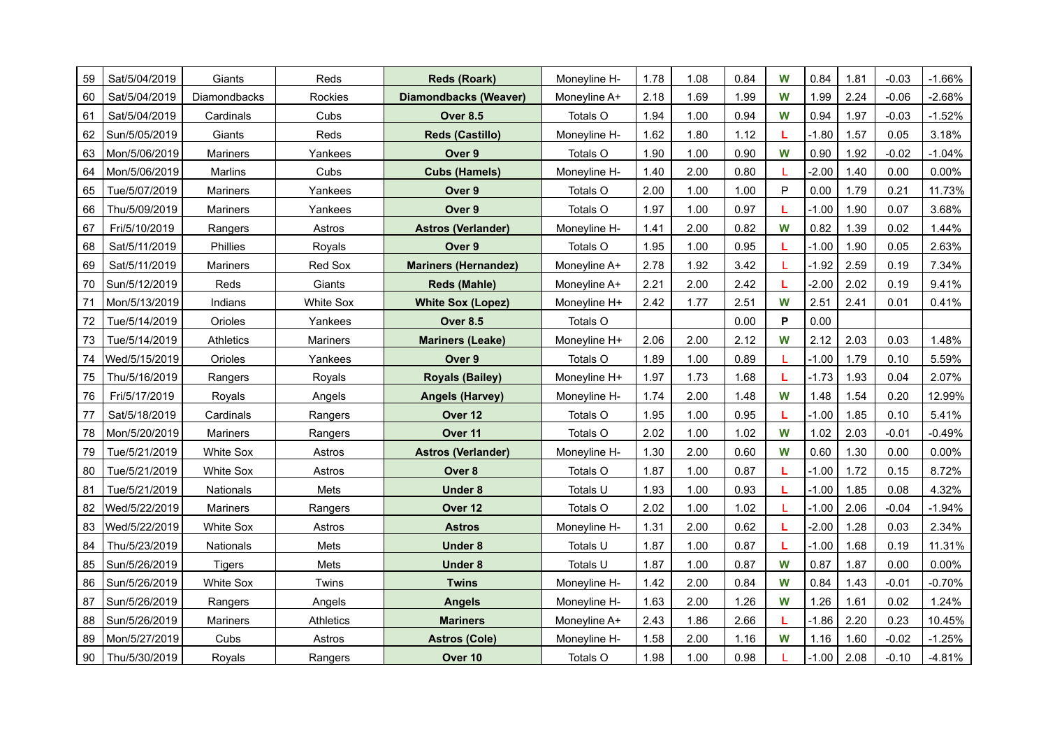| 59 | Sat/5/04/2019 | Giants           | Reds             | <b>Reds (Roark)</b>         | Moneyline H- | 1.78 | 1.08 | 0.84 | W | 0.84    | 1.81 | $-0.03$ | $-1.66%$ |
|----|---------------|------------------|------------------|-----------------------------|--------------|------|------|------|---|---------|------|---------|----------|
| 60 | Sat/5/04/2019 | Diamondbacks     | Rockies          | Diamondbacks (Weaver)       | Moneyline A+ | 2.18 | 1.69 | 1.99 | W | 1.99    | 2.24 | $-0.06$ | -2.68%   |
| 61 | Sat/5/04/2019 | Cardinals        | Cubs             | <b>Over 8.5</b>             | Totals O     | 1.94 | 1.00 | 0.94 | W | 0.94    | 1.97 | $-0.03$ | $-1.52%$ |
| 62 | Sun/5/05/2019 | Giants           | Reds             | <b>Reds (Castillo)</b>      | Moneyline H- | 1.62 | 1.80 | 1.12 | L | $-1.80$ | 1.57 | 0.05    | 3.18%    |
| 63 | Mon/5/06/2019 | <b>Mariners</b>  | Yankees          | Over 9                      | Totals O     | 1.90 | 1.00 | 0.90 | W | 0.90    | 1.92 | $-0.02$ | $-1.04%$ |
| 64 | Mon/5/06/2019 | Marlins          | Cubs             | <b>Cubs (Hamels)</b>        | Moneyline H- | 1.40 | 2.00 | 0.80 |   | $-2.00$ | 1.40 | 0.00    | 0.00%    |
| 65 | Tue/5/07/2019 | <b>Mariners</b>  | Yankees          | Over <sub>9</sub>           | Totals O     | 2.00 | 1.00 | 1.00 | P | 0.00    | 1.79 | 0.21    | 11.73%   |
| 66 | Thu/5/09/2019 | <b>Mariners</b>  | Yankees          | Over 9                      | Totals O     | 1.97 | 1.00 | 0.97 |   | $-1.00$ | 1.90 | 0.07    | 3.68%    |
| 67 | Fri/5/10/2019 | Rangers          | Astros           | <b>Astros (Verlander)</b>   | Moneyline H- | 1.41 | 2.00 | 0.82 | W | 0.82    | 1.39 | 0.02    | 1.44%    |
| 68 | Sat/5/11/2019 | Phillies         | Royals           | Over 9                      | Totals O     | 1.95 | 1.00 | 0.95 | L | $-1.00$ | 1.90 | 0.05    | 2.63%    |
| 69 | Sat/5/11/2019 | <b>Mariners</b>  | Red Sox          | <b>Mariners (Hernandez)</b> | Moneyline A+ | 2.78 | 1.92 | 3.42 |   | $-1.92$ | 2.59 | 0.19    | 7.34%    |
| 70 | Sun/5/12/2019 | Reds             | Giants           | <b>Reds (Mahle)</b>         | Moneyline A+ | 2.21 | 2.00 | 2.42 |   | $-2.00$ | 2.02 | 0.19    | 9.41%    |
| 71 | Mon/5/13/2019 | Indians          | <b>White Sox</b> | <b>White Sox (Lopez)</b>    | Moneyline H+ | 2.42 | 1.77 | 2.51 | W | 2.51    | 2.41 | 0.01    | 0.41%    |
| 72 | Tue/5/14/2019 | Orioles          | Yankees          | <b>Over 8.5</b>             | Totals O     |      |      | 0.00 | P | 0.00    |      |         |          |
| 73 | Tue/5/14/2019 | Athletics        | Mariners         | <b>Mariners (Leake)</b>     | Moneyline H+ | 2.06 | 2.00 | 2.12 | W | 2.12    | 2.03 | 0.03    | 1.48%    |
| 74 | Wed/5/15/2019 | Orioles          | Yankees          | Over 9                      | Totals O     | 1.89 | 1.00 | 0.89 | L | $-1.00$ | 1.79 | 0.10    | 5.59%    |
| 75 | Thu/5/16/2019 | Rangers          | Royals           | <b>Royals (Bailey)</b>      | Moneyline H+ | 1.97 | 1.73 | 1.68 | L | $-1.73$ | 1.93 | 0.04    | 2.07%    |
| 76 | Fri/5/17/2019 | Royals           | Angels           | <b>Angels (Harvey)</b>      | Moneyline H- | 1.74 | 2.00 | 1.48 | W | 1.48    | 1.54 | 0.20    | 12.99%   |
| 77 | Sat/5/18/2019 | Cardinals        | Rangers          | Over 12                     | Totals O     | 1.95 | 1.00 | 0.95 | L | $-1.00$ | 1.85 | 0.10    | 5.41%    |
| 78 | Mon/5/20/2019 | Mariners         | Rangers          | Over <sub>11</sub>          | Totals O     | 2.02 | 1.00 | 1.02 | W | 1.02    | 2.03 | $-0.01$ | $-0.49%$ |
| 79 | Tue/5/21/2019 | <b>White Sox</b> | Astros           | <b>Astros (Verlander)</b>   | Moneyline H- | 1.30 | 2.00 | 0.60 | W | 0.60    | 1.30 | 0.00    | 0.00%    |
| 80 | Tue/5/21/2019 | <b>White Sox</b> | Astros           | Over 8                      | Totals O     | 1.87 | 1.00 | 0.87 | L | $-1.00$ | 1.72 | 0.15    | 8.72%    |
| 81 | Tue/5/21/2019 | <b>Nationals</b> | Mets             | <b>Under 8</b>              | Totals U     | 1.93 | 1.00 | 0.93 | L | $-1.00$ | 1.85 | 0.08    | 4.32%    |
| 82 | Wed/5/22/2019 | Mariners         | Rangers          | Over 12                     | Totals O     | 2.02 | 1.00 | 1.02 |   | $-1.00$ | 2.06 | $-0.04$ | $-1.94%$ |
| 83 | Wed/5/22/2019 | <b>White Sox</b> | Astros           | <b>Astros</b>               | Moneyline H- | 1.31 | 2.00 | 0.62 | L | $-2.00$ | 1.28 | 0.03    | 2.34%    |
| 84 | Thu/5/23/2019 | <b>Nationals</b> | Mets             | <b>Under 8</b>              | Totals U     | 1.87 | 1.00 | 0.87 | L | $-1.00$ | 1.68 | 0.19    | 11.31%   |
| 85 | Sun/5/26/2019 | Tigers           | Mets             | <b>Under 8</b>              | Totals U     | 1.87 | 1.00 | 0.87 | W | 0.87    | 1.87 | 0.00    | 0.00%    |
| 86 | Sun/5/26/2019 | <b>White Sox</b> | Twins            | <b>Twins</b>                | Moneyline H- | 1.42 | 2.00 | 0.84 | W | 0.84    | 1.43 | $-0.01$ | $-0.70%$ |
| 87 | Sun/5/26/2019 | Rangers          | Angels           | <b>Angels</b>               | Moneyline H- | 1.63 | 2.00 | 1.26 | W | 1.26    | 1.61 | 0.02    | 1.24%    |
| 88 | Sun/5/26/2019 | Mariners         | Athletics        | <b>Mariners</b>             | Moneyline A+ | 2.43 | 1.86 | 2.66 |   | $-1.86$ | 2.20 | 0.23    | 10.45%   |
| 89 | Mon/5/27/2019 | Cubs             | Astros           | <b>Astros (Cole)</b>        | Moneyline H- | 1.58 | 2.00 | 1.16 | W | 1.16    | 1.60 | $-0.02$ | $-1.25%$ |
| 90 | Thu/5/30/2019 | Royals           | Rangers          | Over 10                     | Totals O     | 1.98 | 1.00 | 0.98 |   | $-1.00$ | 2.08 | $-0.10$ | $-4.81%$ |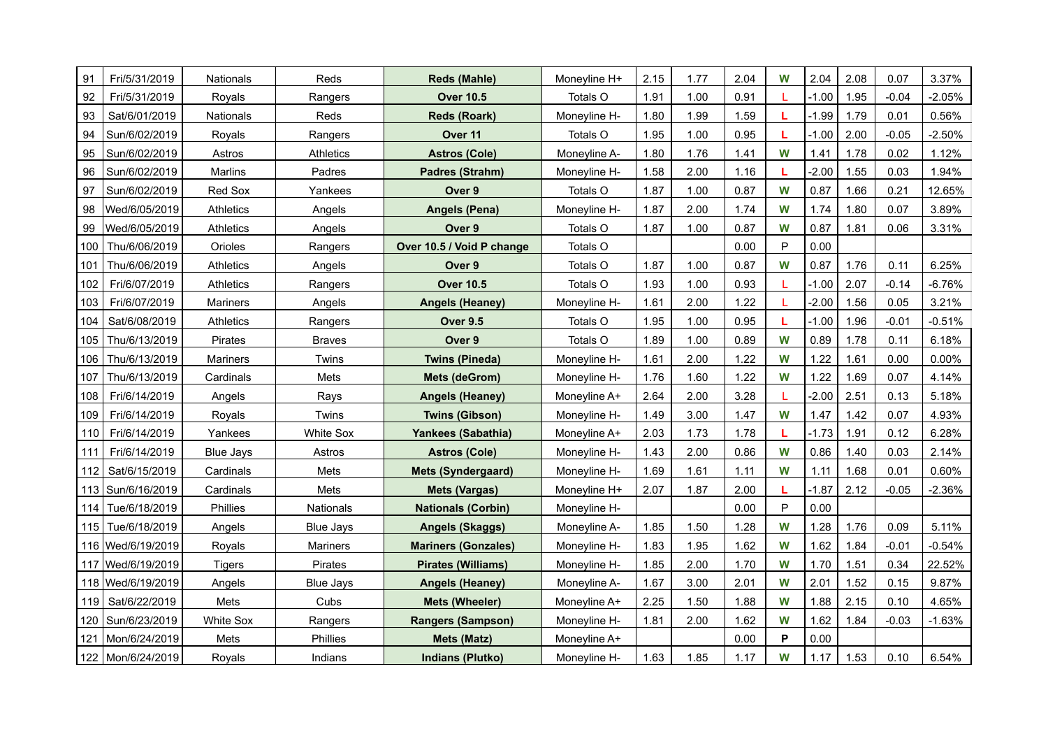| 91  | Fri/5/31/2019       | <b>Nationals</b> | Reds             | <b>Reds (Mahle)</b>        | Moneyline H+ | 2.15 | 1.77 | 2.04 | W            | 2.04    | 2.08 | 0.07    | 3.37%    |
|-----|---------------------|------------------|------------------|----------------------------|--------------|------|------|------|--------------|---------|------|---------|----------|
| 92  | Fri/5/31/2019       | Royals           | Rangers          | <b>Over 10.5</b>           | Totals O     | 1.91 | 1.00 | 0.91 |              | $-1.00$ | 1.95 | $-0.04$ | -2.05%   |
| 93  | Sat/6/01/2019       | Nationals        | Reds             | <b>Reds (Roark)</b>        | Moneyline H- | 1.80 | 1.99 | 1.59 | L            | $-1.99$ | 1.79 | 0.01    | 0.56%    |
| 94  | Sun/6/02/2019       | Royals           | Rangers          | Over <sub>11</sub>         | Totals O     | 1.95 | 1.00 | 0.95 | L            | $-1.00$ | 2.00 | $-0.05$ | $-2.50%$ |
| 95  | Sun/6/02/2019       | Astros           | Athletics        | <b>Astros (Cole)</b>       | Moneyline A- | 1.80 | 1.76 | 1.41 | W            | 1.41    | 1.78 | 0.02    | 1.12%    |
| 96  | Sun/6/02/2019       | Marlins          | Padres           | Padres (Strahm)            | Moneyline H- | 1.58 | 2.00 | 1.16 | L            | $-2.00$ | 1.55 | 0.03    | 1.94%    |
| 97  | Sun/6/02/2019       | Red Sox          | Yankees          | Over 9                     | Totals O     | 1.87 | 1.00 | 0.87 | W            | 0.87    | 1.66 | 0.21    | 12.65%   |
| 98  | Wed/6/05/2019       | Athletics        | Angels           | <b>Angels (Pena)</b>       | Moneyline H- | 1.87 | 2.00 | 1.74 | W            | 1.74    | 1.80 | 0.07    | 3.89%    |
| 99  | Wed/6/05/2019       | <b>Athletics</b> | Angels           | Over 9                     | Totals O     | 1.87 | 1.00 | 0.87 | W            | 0.87    | 1.81 | 0.06    | 3.31%    |
| 100 | Thu/6/06/2019       | Orioles          | Rangers          | Over 10.5 / Void P change  | Totals O     |      |      | 0.00 | $\mathsf{P}$ | 0.00    |      |         |          |
| 101 | Thu/6/06/2019       | Athletics        | Angels           | Over 9                     | Totals O     | 1.87 | 1.00 | 0.87 | W            | 0.87    | 1.76 | 0.11    | 6.25%    |
| 102 | Fri/6/07/2019       | Athletics        | Rangers          | <b>Over 10.5</b>           | Totals O     | 1.93 | 1.00 | 0.93 |              | $-1.00$ | 2.07 | $-0.14$ | $-6.76%$ |
| 103 | Fri/6/07/2019       | <b>Mariners</b>  | Angels           | <b>Angels (Heaney)</b>     | Moneyline H- | 1.61 | 2.00 | 1.22 |              | $-2.00$ | 1.56 | 0.05    | 3.21%    |
| 104 | Sat/6/08/2019       | Athletics        | Rangers          | Over 9.5                   | Totals O     | 1.95 | 1.00 | 0.95 | L            | $-1.00$ | 1.96 | $-0.01$ | $-0.51%$ |
| 105 | Thu/6/13/2019       | Pirates          | <b>Braves</b>    | Over 9                     | Totals O     | 1.89 | 1.00 | 0.89 | W            | 0.89    | 1.78 | 0.11    | 6.18%    |
| 106 | Thu/6/13/2019       | <b>Mariners</b>  | Twins            | <b>Twins (Pineda)</b>      | Moneyline H- | 1.61 | 2.00 | 1.22 | W            | 1.22    | 1.61 | 0.00    | 0.00%    |
| 107 | Thu/6/13/2019       | Cardinals        | Mets             | <b>Mets (deGrom)</b>       | Moneyline H- | 1.76 | 1.60 | 1.22 | W            | 1.22    | 1.69 | 0.07    | 4.14%    |
| 108 | Fri/6/14/2019       | Angels           | Rays             | <b>Angels (Heaney)</b>     | Moneyline A+ | 2.64 | 2.00 | 3.28 |              | $-2.00$ | 2.51 | 0.13    | 5.18%    |
| 109 | Fri/6/14/2019       | Royals           | Twins            | <b>Twins (Gibson)</b>      | Moneyline H- | 1.49 | 3.00 | 1.47 | W            | 1.47    | 1.42 | 0.07    | 4.93%    |
| 110 | Fri/6/14/2019       | Yankees          | <b>White Sox</b> | Yankees (Sabathia)         | Moneyline A+ | 2.03 | 1.73 | 1.78 | L            | $-1.73$ | 1.91 | 0.12    | 6.28%    |
| 111 | Fri/6/14/2019       | <b>Blue Jays</b> | Astros           | <b>Astros (Cole)</b>       | Moneyline H- | 1.43 | 2.00 | 0.86 | W            | 0.86    | 1.40 | 0.03    | 2.14%    |
| 112 | Sat/6/15/2019       | Cardinals        | Mets             | <b>Mets (Syndergaard)</b>  | Moneyline H- | 1.69 | 1.61 | 1.11 | W            | 1.11    | 1.68 | 0.01    | 0.60%    |
| 113 | Sun/6/16/2019       | Cardinals        | Mets             | <b>Mets (Vargas)</b>       | Moneyline H+ | 2.07 | 1.87 | 2.00 | L            | $-1.87$ | 2.12 | $-0.05$ | $-2.36%$ |
| 114 | Tue/6/18/2019       | Phillies         | Nationals        | <b>Nationals (Corbin)</b>  | Moneyline H- |      |      | 0.00 | P            | 0.00    |      |         |          |
| 115 | Tue/6/18/2019       | Angels           | <b>Blue Jays</b> | <b>Angels (Skaggs)</b>     | Moneyline A- | 1.85 | 1.50 | 1.28 | W            | 1.28    | 1.76 | 0.09    | 5.11%    |
|     | 116   Wed/6/19/2019 | Royals           | Mariners         | <b>Mariners (Gonzales)</b> | Moneyline H- | 1.83 | 1.95 | 1.62 | W            | 1.62    | 1.84 | $-0.01$ | $-0.54%$ |
| 117 | Wed/6/19/2019       | <b>Tigers</b>    | Pirates          | <b>Pirates (Williams)</b>  | Moneyline H- | 1.85 | 2.00 | 1.70 | W            | 1.70    | 1.51 | 0.34    | 22.52%   |
|     | 118   Wed/6/19/2019 | Angels           | <b>Blue Jays</b> | <b>Angels (Heaney)</b>     | Moneyline A- | 1.67 | 3.00 | 2.01 | W            | 2.01    | 1.52 | 0.15    | 9.87%    |
| 119 | Sat/6/22/2019       | Mets             | Cubs             | <b>Mets (Wheeler)</b>      | Moneyline A+ | 2.25 | 1.50 | 1.88 | W            | 1.88    | 2.15 | 0.10    | 4.65%    |
| 120 | Sun/6/23/2019       | <b>White Sox</b> | Rangers          | <b>Rangers (Sampson)</b>   | Moneyline H- | 1.81 | 2.00 | 1.62 | W            | 1.62    | 1.84 | $-0.03$ | $-1.63%$ |
| 121 | Mon/6/24/2019       | Mets             | Phillies         | <b>Mets (Matz)</b>         | Moneyline A+ |      |      | 0.00 | P            | 0.00    |      |         |          |
|     | 122   Mon/6/24/2019 | Royals           | Indians          | <b>Indians (Plutko)</b>    | Moneyline H- | 1.63 | 1.85 | 1.17 | W            | 1.17    | 1.53 | 0.10    | 6.54%    |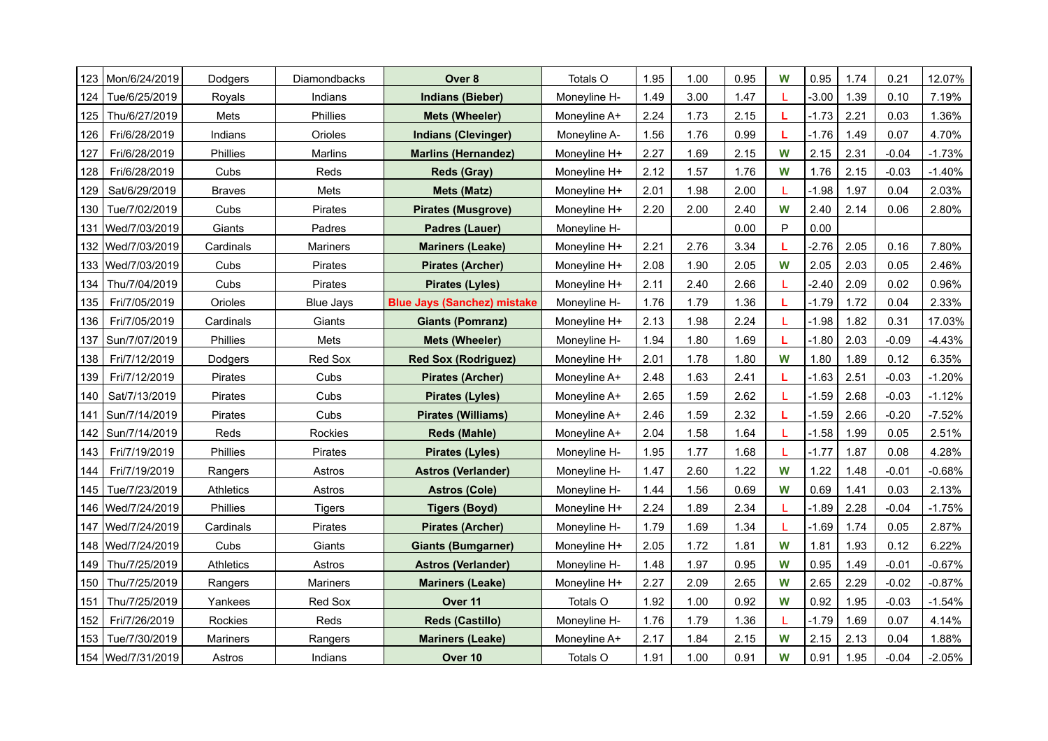| 123 | Mon/6/24/2019       | Dodgers         | Diamondbacks     | Over 8                             | Totals O     | 1.95 | 1.00 | 0.95 | W | 0.95    | 1.74 | 0.21    | 12.07%   |
|-----|---------------------|-----------------|------------------|------------------------------------|--------------|------|------|------|---|---------|------|---------|----------|
| 124 | Tue/6/25/2019       | Royals          | Indians          | <b>Indians (Bieber)</b>            | Moneyline H- | 1.49 | 3.00 | 1.47 |   | $-3.00$ | 1.39 | 0.10    | 7.19%    |
| 125 | Thu/6/27/2019       | Mets            | Phillies         | <b>Mets (Wheeler)</b>              | Moneyline A+ | 2.24 | 1.73 | 2.15 | L | $-1.73$ | 2.21 | 0.03    | 1.36%    |
| 126 | Fri/6/28/2019       | Indians         | Orioles          | <b>Indians (Clevinger)</b>         | Moneyline A- | 1.56 | 1.76 | 0.99 | L | $-1.76$ | 1.49 | 0.07    | 4.70%    |
| 127 | Fri/6/28/2019       | Phillies        | Marlins          | <b>Marlins (Hernandez)</b>         | Moneyline H+ | 2.27 | 1.69 | 2.15 | W | 2.15    | 2.31 | $-0.04$ | $-1.73%$ |
| 128 | Fri/6/28/2019       | Cubs            | Reds             | <b>Reds (Gray)</b>                 | Moneyline H+ | 2.12 | 1.57 | 1.76 | W | 1.76    | 2.15 | $-0.03$ | $-1.40%$ |
| 129 | Sat/6/29/2019       | <b>Braves</b>   | Mets             | <b>Mets (Matz)</b>                 | Moneyline H+ | 2.01 | 1.98 | 2.00 |   | $-1.98$ | 1.97 | 0.04    | 2.03%    |
| 130 | Tue/7/02/2019       | Cubs            | Pirates          | <b>Pirates (Musgrove)</b>          | Moneyline H+ | 2.20 | 2.00 | 2.40 | W | 2.40    | 2.14 | 0.06    | 2.80%    |
| 131 | Wed/7/03/2019       | Giants          | Padres           | Padres (Lauer)                     | Moneyline H- |      |      | 0.00 | P | 0.00    |      |         |          |
| 132 | Wed/7/03/2019       | Cardinals       | <b>Mariners</b>  | <b>Mariners (Leake)</b>            | Moneyline H+ | 2.21 | 2.76 | 3.34 | L | $-2.76$ | 2.05 | 0.16    | 7.80%    |
|     | 133 Wed/7/03/2019   | Cubs            | Pirates          | <b>Pirates (Archer)</b>            | Moneyline H+ | 2.08 | 1.90 | 2.05 | W | 2.05    | 2.03 | 0.05    | 2.46%    |
| 134 | Thu/7/04/2019       | Cubs            | Pirates          | <b>Pirates (Lyles)</b>             | Moneyline H+ | 2.11 | 2.40 | 2.66 |   | $-2.40$ | 2.09 | 0.02    | 0.96%    |
| 135 | Fri/7/05/2019       | Orioles         | <b>Blue Jays</b> | <b>Blue Jays (Sanchez) mistake</b> | Moneyline H- | 1.76 | 1.79 | 1.36 | L | $-1.79$ | 1.72 | 0.04    | 2.33%    |
| 136 | Fri/7/05/2019       | Cardinals       | Giants           | <b>Giants (Pomranz)</b>            | Moneyline H+ | 2.13 | 1.98 | 2.24 |   | $-1.98$ | 1.82 | 0.31    | 17.03%   |
| 137 | Sun/7/07/2019       | Phillies        | Mets             | <b>Mets (Wheeler)</b>              | Moneyline H- | 1.94 | 1.80 | 1.69 | L | $-1.80$ | 2.03 | $-0.09$ | $-4.43%$ |
| 138 | Fri/7/12/2019       | Dodgers         | Red Sox          | <b>Red Sox (Rodriguez)</b>         | Moneyline H+ | 2.01 | 1.78 | 1.80 | W | 1.80    | 1.89 | 0.12    | 6.35%    |
| 139 | Fri/7/12/2019       | Pirates         | Cubs             | <b>Pirates (Archer)</b>            | Moneyline A+ | 2.48 | 1.63 | 2.41 | L | $-1.63$ | 2.51 | $-0.03$ | $-1.20%$ |
| 140 | Sat/7/13/2019       | Pirates         | Cubs             | <b>Pirates (Lyles)</b>             | Moneyline A+ | 2.65 | 1.59 | 2.62 |   | $-1.59$ | 2.68 | $-0.03$ | $-1.12%$ |
| 141 | Sun/7/14/2019       | Pirates         | Cubs             | <b>Pirates (Williams)</b>          | Moneyline A+ | 2.46 | 1.59 | 2.32 | L | $-1.59$ | 2.66 | $-0.20$ | $-7.52%$ |
|     | 142   Sun/7/14/2019 | Reds            | Rockies          | Reds (Mahle)                       | Moneyline A+ | 2.04 | 1.58 | 1.64 |   | $-1.58$ | 1.99 | 0.05    | 2.51%    |
| 143 | Fri/7/19/2019       | Phillies        | Pirates          | <b>Pirates (Lyles)</b>             | Moneyline H- | 1.95 | 1.77 | 1.68 |   | $-1.77$ | 1.87 | 0.08    | 4.28%    |
| 144 | Fri/7/19/2019       | Rangers         | Astros           | <b>Astros (Verlander)</b>          | Moneyline H- | 1.47 | 2.60 | 1.22 | W | 1.22    | 1.48 | $-0.01$ | $-0.68%$ |
| 145 | Tue/7/23/2019       | Athletics       | Astros           | <b>Astros (Cole)</b>               | Moneyline H- | 1.44 | 1.56 | 0.69 | W | 0.69    | 1.41 | 0.03    | 2.13%    |
| 146 | Wed/7/24/2019       | Phillies        | <b>Tigers</b>    | <b>Tigers (Boyd)</b>               | Moneyline H+ | 2.24 | 1.89 | 2.34 |   | $-1.89$ | 2.28 | $-0.04$ | $-1.75%$ |
| 147 | Wed/7/24/2019       | Cardinals       | Pirates          | <b>Pirates (Archer)</b>            | Moneyline H- | 1.79 | 1.69 | 1.34 |   | $-1.69$ | 1.74 | 0.05    | 2.87%    |
|     | 148   Wed/7/24/2019 | Cubs            | Giants           | <b>Giants (Bumgarner)</b>          | Moneyline H+ | 2.05 | 1.72 | 1.81 | W | 1.81    | 1.93 | 0.12    | 6.22%    |
| 149 | Thu/7/25/2019       | Athletics       | Astros           | <b>Astros (Verlander)</b>          | Moneyline H- | 1.48 | 1.97 | 0.95 | W | 0.95    | 1.49 | $-0.01$ | $-0.67%$ |
| 150 | Thu/7/25/2019       | Rangers         | <b>Mariners</b>  | <b>Mariners (Leake)</b>            | Moneyline H+ | 2.27 | 2.09 | 2.65 | W | 2.65    | 2.29 | $-0.02$ | $-0.87%$ |
| 151 | Thu/7/25/2019       | Yankees         | Red Sox          | Over 11                            | Totals O     | 1.92 | 1.00 | 0.92 | W | 0.92    | 1.95 | $-0.03$ | $-1.54%$ |
| 152 | Fri/7/26/2019       | Rockies         | Reds             | <b>Reds (Castillo)</b>             | Moneyline H- | 1.76 | 1.79 | 1.36 |   | $-1.79$ | 1.69 | 0.07    | 4.14%    |
| 153 | Tue/7/30/2019       | <b>Mariners</b> | Rangers          | <b>Mariners (Leake)</b>            | Moneyline A+ | 2.17 | 1.84 | 2.15 | W | 2.15    | 2.13 | 0.04    | 1.88%    |
|     | 154   Wed/7/31/2019 | Astros          | Indians          | Over 10                            | Totals O     | 1.91 | 1.00 | 0.91 | W | 0.91    | 1.95 | $-0.04$ | $-2.05%$ |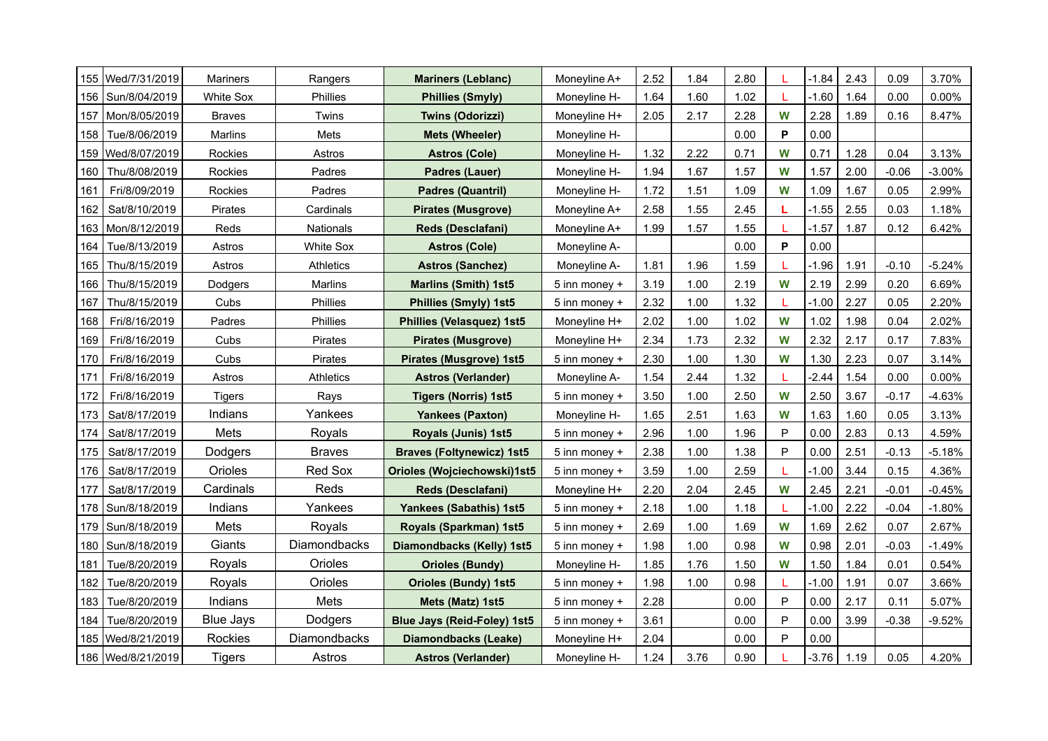|     | 155   Wed/7/31/2019 | <b>Mariners</b>  | Rangers          | <b>Mariners (Leblanc)</b>          | Moneyline A+  | 2.52 | 1.84 | 2.80 |           | $-1.84$ | 2.43 | 0.09    | 3.70%     |
|-----|---------------------|------------------|------------------|------------------------------------|---------------|------|------|------|-----------|---------|------|---------|-----------|
| 156 | Sun/8/04/2019       | White Sox        | Phillies         | <b>Phillies (Smyly)</b>            | Moneyline H-  | 1.64 | 1.60 | 1.02 |           | $-1.60$ | 1.64 | 0.00    | $0.00\%$  |
| 157 | Mon/8/05/2019       | <b>Braves</b>    | Twins            | <b>Twins (Odorizzi)</b>            | Moneyline H+  | 2.05 | 2.17 | 2.28 | W         | 2.28    | 1.89 | 0.16    | 8.47%     |
| 158 | Tue/8/06/2019       | <b>Marlins</b>   | Mets             | Mets (Wheeler)                     | Moneyline H-  |      |      | 0.00 | P         | 0.00    |      |         |           |
| 159 | Wed/8/07/2019       | Rockies          | Astros           | <b>Astros (Cole)</b>               | Moneyline H-  | 1.32 | 2.22 | 0.71 | W         | 0.71    | 1.28 | 0.04    | 3.13%     |
| 160 | Thu/8/08/2019       | Rockies          | Padres           | Padres (Lauer)                     | Moneyline H-  | 1.94 | 1.67 | 1.57 | W         | 1.57    | 2.00 | $-0.06$ | $-3.00\%$ |
| 161 | Fri/8/09/2019       | Rockies          | Padres           | <b>Padres (Quantril)</b>           | Moneyline H-  | 1.72 | 1.51 | 1.09 | W         | 1.09    | 1.67 | 0.05    | 2.99%     |
| 162 | Sat/8/10/2019       | Pirates          | Cardinals        | <b>Pirates (Musgrove)</b>          | Moneyline A+  | 2.58 | 1.55 | 2.45 |           | $-1.55$ | 2.55 | 0.03    | 1.18%     |
| 163 | Mon/8/12/2019       | Reds             | Nationals        | Reds (Desclafani)                  | Moneyline A+  | 1.99 | 1.57 | 1.55 |           | $-1.57$ | 1.87 | 0.12    | 6.42%     |
| 164 | Tue/8/13/2019       | Astros           | <b>White Sox</b> | <b>Astros (Cole)</b>               | Moneyline A-  |      |      | 0.00 | P         | 0.00    |      |         |           |
| 165 | Thu/8/15/2019       | Astros           | <b>Athletics</b> | <b>Astros (Sanchez)</b>            | Moneyline A-  | 1.81 | 1.96 | 1.59 |           | $-1.96$ | 1.91 | $-0.10$ | $-5.24%$  |
| 166 | Thu/8/15/2019       | Dodgers          | Marlins          | <b>Marlins (Smith) 1st5</b>        | 5 inn money + | 3.19 | 1.00 | 2.19 | W         | 2.19    | 2.99 | 0.20    | 6.69%     |
| 167 | Thu/8/15/2019       | Cubs             | Phillies         | <b>Phillies (Smyly) 1st5</b>       | 5 inn money + | 2.32 | 1.00 | 1.32 | T.        | $-1.00$ | 2.27 | 0.05    | 2.20%     |
| 168 | Fri/8/16/2019       | Padres           | Phillies         | <b>Phillies (Velasquez) 1st5</b>   | Moneyline H+  | 2.02 | 1.00 | 1.02 | W         | 1.02    | 1.98 | 0.04    | 2.02%     |
| 169 | Fri/8/16/2019       | Cubs             | Pirates          | <b>Pirates (Musgrove)</b>          | Moneyline H+  | 2.34 | 1.73 | 2.32 | W         | 2.32    | 2.17 | 0.17    | 7.83%     |
| 170 | Fri/8/16/2019       | Cubs             | Pirates          | Pirates (Musgrove) 1st5            | 5 inn money + | 2.30 | 1.00 | 1.30 | W         | 1.30    | 2.23 | 0.07    | 3.14%     |
| 171 | Fri/8/16/2019       | Astros           | Athletics        | <b>Astros (Verlander)</b>          | Moneyline A-  | 1.54 | 2.44 | 1.32 |           | $-2.44$ | 1.54 | 0.00    | $0.00\%$  |
| 172 | Fri/8/16/2019       | <b>Tigers</b>    | Rays             | <b>Tigers (Norris) 1st5</b>        | 5 inn money + | 3.50 | 1.00 | 2.50 | W         | 2.50    | 3.67 | $-0.17$ | -4.63%    |
| 173 | Sat/8/17/2019       | Indians          | Yankees          | <b>Yankees (Paxton)</b>            | Moneyline H-  | 1.65 | 2.51 | 1.63 | W         | 1.63    | 1.60 | 0.05    | 3.13%     |
| 174 | Sat/8/17/2019       | Mets             | Royals           | Royals (Junis) 1st5                | 5 inn money + | 2.96 | 1.00 | 1.96 | P         | 0.00    | 2.83 | 0.13    | 4.59%     |
| 175 | Sat/8/17/2019       | Dodgers          | <b>Braves</b>    | <b>Braves (Foltynewicz) 1st5</b>   | 5 inn money + | 2.38 | 1.00 | 1.38 | P         | 0.00    | 2.51 | $-0.13$ | $-5.18%$  |
| 176 | Sat/8/17/2019       | Orioles          | Red Sox          | <b>Orioles (Wojciechowski)1st5</b> | 5 inn money + | 3.59 | 1.00 | 2.59 |           | $-1.00$ | 3.44 | 0.15    | 4.36%     |
| 177 | Sat/8/17/2019       | Cardinals        | Reds             | <b>Reds (Desclafani)</b>           | Moneyline H+  | 2.20 | 2.04 | 2.45 | W         | 2.45    | 2.21 | $-0.01$ | $-0.45%$  |
| 178 | Sun/8/18/2019       | Indians          | Yankees          | <b>Yankees (Sabathis) 1st5</b>     | 5 inn money + | 2.18 | 1.00 | 1.18 |           | $-1.00$ | 2.22 | $-0.04$ | $-1.80%$  |
| 179 | Sun/8/18/2019       | Mets             | Royals           | Royals (Sparkman) 1st5             | 5 inn money + | 2.69 | 1.00 | 1.69 | W         | 1.69    | 2.62 | 0.07    | 2.67%     |
|     | 180   Sun/8/18/2019 | Giants           | Diamondbacks     | Diamondbacks (Kelly) 1st5          | 5 inn money + | 1.98 | 1.00 | 0.98 | W         | 0.98    | 2.01 | $-0.03$ | $-1.49%$  |
| 181 | Tue/8/20/2019       | Royals           | Orioles          | <b>Orioles (Bundy)</b>             | Moneyline H-  | 1.85 | 1.76 | 1.50 | W         | 1.50    | 1.84 | 0.01    | 0.54%     |
| 182 | Tue/8/20/2019       | Royals           | Orioles          | <b>Orioles (Bundy) 1st5</b>        | 5 inn money + | 1.98 | 1.00 | 0.98 | L         | $-1.00$ | 1.91 | 0.07    | 3.66%     |
| 183 | Tue/8/20/2019       | Indians          | Mets             | Mets (Matz) 1st5                   | 5 inn money + | 2.28 |      | 0.00 | ${\sf P}$ | 0.00    | 2.17 | 0.11    | 5.07%     |
| 184 | Tue/8/20/2019       | <b>Blue Jays</b> | Dodgers          | <b>Blue Jays (Reid-Foley) 1st5</b> | 5 inn money + | 3.61 |      | 0.00 | P         | 0.00    | 3.99 | $-0.38$ | $-9.52%$  |
| 185 | Wed/8/21/2019       | Rockies          | Diamondbacks     | Diamondbacks (Leake)               | Moneyline H+  | 2.04 |      | 0.00 | P         | 0.00    |      |         |           |
|     | 186   Wed/8/21/2019 | Tigers           | Astros           | <b>Astros (Verlander)</b>          | Moneyline H-  | 1.24 | 3.76 | 0.90 |           | $-3.76$ | 1.19 | 0.05    | 4.20%     |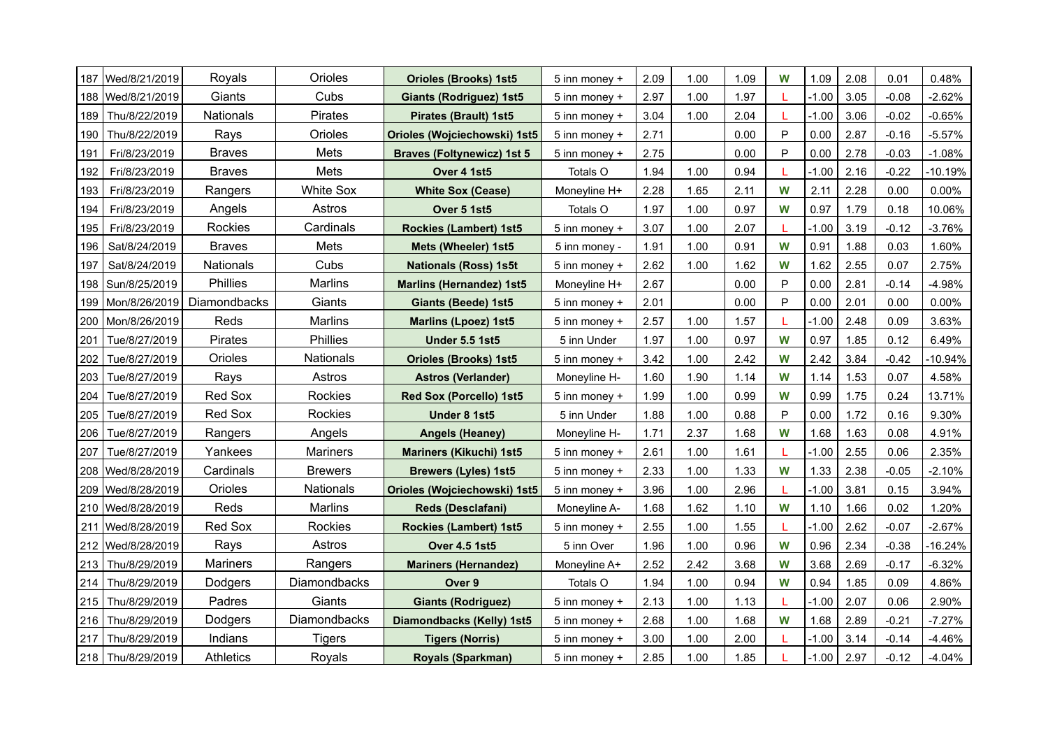|     | 187   Wed/8/21/2019 | Royals           | Orioles          | <b>Orioles (Brooks) 1st5</b>        | 5 inn money + | 2.09 | 1.00 | 1.09 | W | 1.09    | 2.08 | 0.01    | 0.48%     |
|-----|---------------------|------------------|------------------|-------------------------------------|---------------|------|------|------|---|---------|------|---------|-----------|
|     | 188   Wed/8/21/2019 | Giants           | Cubs             | <b>Giants (Rodriguez) 1st5</b>      | 5 inn money + | 2.97 | 1.00 | 1.97 |   | $-1.00$ | 3.05 | $-0.08$ | $-2.62%$  |
| 189 | Thu/8/22/2019       | <b>Nationals</b> | Pirates          | <b>Pirates (Brault) 1st5</b>        | 5 inn money + | 3.04 | 1.00 | 2.04 |   | $-1.00$ | 3.06 | $-0.02$ | $-0.65%$  |
| 190 | Thu/8/22/2019       | Rays             | Orioles          | <b>Orioles (Wojciechowski) 1st5</b> | 5 inn money + | 2.71 |      | 0.00 | P | 0.00    | 2.87 | $-0.16$ | $-5.57%$  |
| 191 | Fri/8/23/2019       | <b>Braves</b>    | Mets             | <b>Braves (Foltynewicz) 1st 5</b>   | 5 inn money + | 2.75 |      | 0.00 | P | 0.00    | 2.78 | $-0.03$ | $-1.08%$  |
| 192 | Fri/8/23/2019       | <b>Braves</b>    | Mets             | Over 4 1st5                         | Totals O      | 1.94 | 1.00 | 0.94 |   | $-1.00$ | 2.16 | $-0.22$ | $-10.19%$ |
| 193 | Fri/8/23/2019       | Rangers          | <b>White Sox</b> | <b>White Sox (Cease)</b>            | Moneyline H+  | 2.28 | 1.65 | 2.11 | W | 2.11    | 2.28 | 0.00    | $0.00\%$  |
| 194 | Fri/8/23/2019       | Angels           | Astros           | Over 5 1st5                         | Totals O      | 1.97 | 1.00 | 0.97 | W | 0.97    | 1.79 | 0.18    | 10.06%    |
| 195 | Fri/8/23/2019       | Rockies          | Cardinals        | <b>Rockies (Lambert) 1st5</b>       | 5 inn money + | 3.07 | 1.00 | 2.07 |   | $-1.00$ | 3.19 | $-0.12$ | $-3.76%$  |
| 196 | Sat/8/24/2019       | <b>Braves</b>    | Mets             | Mets (Wheeler) 1st5                 | 5 inn money - | 1.91 | 1.00 | 0.91 | W | 0.91    | 1.88 | 0.03    | 1.60%     |
| 197 | Sat/8/24/2019       | <b>Nationals</b> | Cubs             | <b>Nationals (Ross) 1s5t</b>        | 5 inn money + | 2.62 | 1.00 | 1.62 | W | 1.62    | 2.55 | 0.07    | 2.75%     |
| 198 | Sun/8/25/2019       | Phillies         | <b>Marlins</b>   | <b>Marlins (Hernandez) 1st5</b>     | Moneyline H+  | 2.67 |      | 0.00 | P | 0.00    | 2.81 | $-0.14$ | $-4.98%$  |
| 199 | Mon/8/26/2019       | Diamondbacks     | Giants           | <b>Giants (Beede) 1st5</b>          | 5 inn money + | 2.01 |      | 0.00 | P | 0.00    | 2.01 | 0.00    | $0.00\%$  |
| 200 | Mon/8/26/2019       | Reds             | <b>Marlins</b>   | <b>Marlins (Lpoez) 1st5</b>         | 5 inn money + | 2.57 | 1.00 | 1.57 |   | $-1.00$ | 2.48 | 0.09    | 3.63%     |
| 201 | Tue/8/27/2019       | Pirates          | <b>Phillies</b>  | <b>Under 5.5 1st5</b>               | 5 inn Under   | 1.97 | 1.00 | 0.97 | W | 0.97    | 1.85 | 0.12    | 6.49%     |
| 202 | Tue/8/27/2019       | Orioles          | Nationals        | <b>Orioles (Brooks) 1st5</b>        | 5 inn money + | 3.42 | 1.00 | 2.42 | W | 2.42    | 3.84 | $-0.42$ | -10.94%   |
| 203 | Tue/8/27/2019       | Rays             | Astros           | <b>Astros (Verlander)</b>           | Moneyline H-  | 1.60 | 1.90 | 1.14 | W | 1.14    | 1.53 | 0.07    | 4.58%     |
| 204 | Tue/8/27/2019       | Red Sox          | Rockies          | Red Sox (Porcello) 1st5             | 5 inn money + | 1.99 | 1.00 | 0.99 | W | 0.99    | 1.75 | 0.24    | 13.71%    |
| 205 | Tue/8/27/2019       | Red Sox          | Rockies          | Under 8 1st5                        | 5 inn Under   | 1.88 | 1.00 | 0.88 | P | 0.00    | 1.72 | 0.16    | 9.30%     |
| 206 | Tue/8/27/2019       | Rangers          | Angels           | <b>Angels (Heaney)</b>              | Moneyline H-  | 1.71 | 2.37 | 1.68 | W | 1.68    | 1.63 | 0.08    | 4.91%     |
| 207 | Tue/8/27/2019       | Yankees          | Mariners         | <b>Mariners (Kikuchi) 1st5</b>      | 5 inn money + | 2.61 | 1.00 | 1.61 |   | $-1.00$ | 2.55 | 0.06    | 2.35%     |
|     | 208   Wed/8/28/2019 | Cardinals        | <b>Brewers</b>   | <b>Brewers (Lyles) 1st5</b>         | 5 inn money + | 2.33 | 1.00 | 1.33 | W | 1.33    | 2.38 | $-0.05$ | $-2.10%$  |
|     | 209   Wed/8/28/2019 | Orioles          | <b>Nationals</b> | Orioles (Wojciechowski) 1st5        | 5 inn money + | 3.96 | 1.00 | 2.96 | L | $-1.00$ | 3.81 | 0.15    | 3.94%     |
|     | 210   Wed/8/28/2019 | Reds             | <b>Marlins</b>   | <b>Reds (Desclafani)</b>            | Moneyline A-  | 1.68 | 1.62 | 1.10 | W | 1.10    | 1.66 | 0.02    | 1.20%     |
| 211 | Wed/8/28/2019       | Red Sox          | Rockies          | <b>Rockies (Lambert) 1st5</b>       | 5 inn money + | 2.55 | 1.00 | 1.55 | L | $-1.00$ | 2.62 | $-0.07$ | $-2.67%$  |
|     | 212   Wed/8/28/2019 | Rays             | Astros           | <b>Over 4.5 1st5</b>                | 5 inn Over    | 1.96 | 1.00 | 0.96 | W | 0.96    | 2.34 | $-0.38$ | -16.24%   |
| 213 | Thu/8/29/2019       | <b>Mariners</b>  | Rangers          | <b>Mariners (Hernandez)</b>         | Moneyline A+  | 2.52 | 2.42 | 3.68 | W | 3.68    | 2.69 | $-0.17$ | $-6.32%$  |
| 214 | Thu/8/29/2019       | Dodgers          | Diamondbacks     | Over 9                              | Totals O      | 1.94 | 1.00 | 0.94 | W | 0.94    | 1.85 | 0.09    | 4.86%     |
| 215 | Thu/8/29/2019       | Padres           | Giants           | <b>Giants (Rodriguez)</b>           | 5 inn money + | 2.13 | 1.00 | 1.13 | L | $-1.00$ | 2.07 | 0.06    | 2.90%     |
| 216 | Thu/8/29/2019       | Dodgers          | Diamondbacks     | Diamondbacks (Kelly) 1st5           | 5 inn money + | 2.68 | 1.00 | 1.68 | W | 1.68    | 2.89 | $-0.21$ | $-7.27%$  |
| 217 | Thu/8/29/2019       | Indians          | <b>Tigers</b>    | <b>Tigers (Norris)</b>              | 5 inn money + | 3.00 | 1.00 | 2.00 |   | $-1.00$ | 3.14 | $-0.14$ | $-4.46%$  |
|     | 218   Thu/8/29/2019 | <b>Athletics</b> | Royals           | <b>Royals (Sparkman)</b>            | 5 inn money + | 2.85 | 1.00 | 1.85 |   | $-1.00$ | 2.97 | $-0.12$ | $-4.04%$  |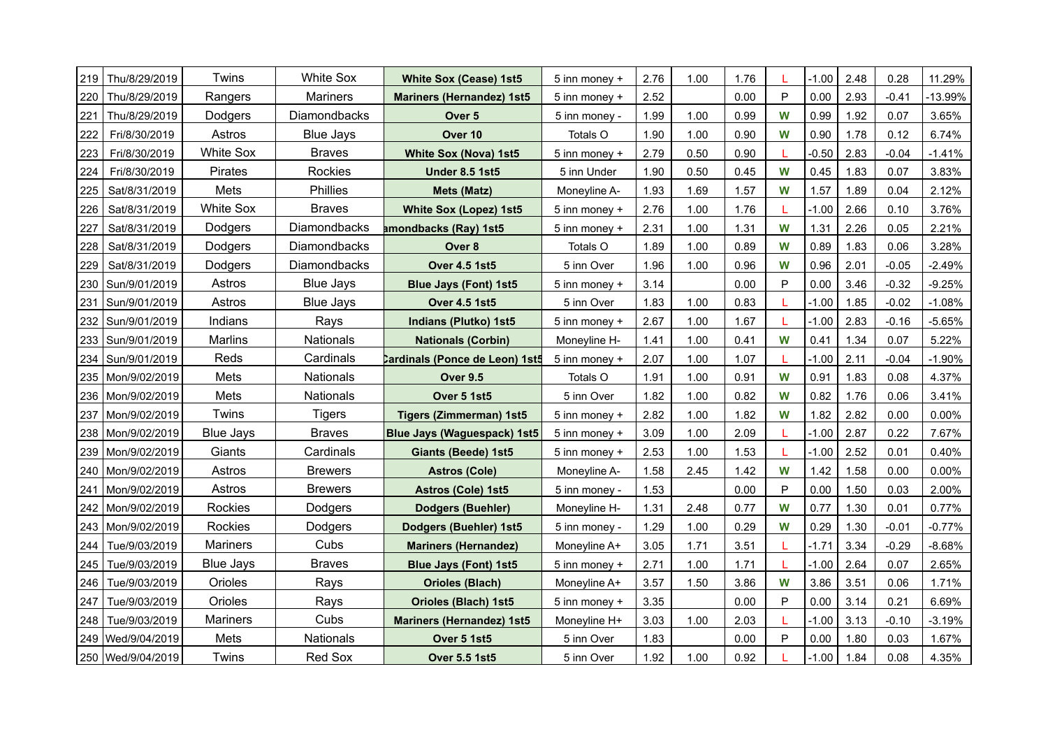| 219 | Thu/8/29/2019       | Twins            | <b>White Sox</b> | <b>White Sox (Cease) 1st5</b>         | 5 inn money + | 2.76 | 1.00 | 1.76 |             | $-1.00$ | 2.48 | 0.28    | 11.29%   |
|-----|---------------------|------------------|------------------|---------------------------------------|---------------|------|------|------|-------------|---------|------|---------|----------|
| 220 | Thu/8/29/2019       | Rangers          | <b>Mariners</b>  | <b>Mariners (Hernandez) 1st5</b>      | 5 inn money + | 2.52 |      | 0.00 | P           | 0.00    | 2.93 | $-0.41$ | -13.99%  |
| 221 | Thu/8/29/2019       | Dodgers          | Diamondbacks     | Over 5                                | 5 inn money - | 1.99 | 1.00 | 0.99 | W           | 0.99    | 1.92 | 0.07    | 3.65%    |
| 222 | Fri/8/30/2019       | Astros           | <b>Blue Jays</b> | Over 10                               | Totals O      | 1.90 | 1.00 | 0.90 | W           | 0.90    | 1.78 | 0.12    | 6.74%    |
| 223 | Fri/8/30/2019       | White Sox        | <b>Braves</b>    | <b>White Sox (Nova) 1st5</b>          | 5 inn money + | 2.79 | 0.50 | 0.90 |             | $-0.50$ | 2.83 | $-0.04$ | $-1.41%$ |
| 224 | Fri/8/30/2019       | Pirates          | Rockies          | <b>Under 8.5 1st5</b>                 | 5 inn Under   | 1.90 | 0.50 | 0.45 | W           | 0.45    | 1.83 | 0.07    | 3.83%    |
| 225 | Sat/8/31/2019       | Mets             | Phillies         | <b>Mets (Matz)</b>                    | Moneyline A-  | 1.93 | 1.69 | 1.57 | W           | 1.57    | 1.89 | 0.04    | 2.12%    |
| 226 | Sat/8/31/2019       | White Sox        | <b>Braves</b>    | <b>White Sox (Lopez) 1st5</b>         | 5 inn money + | 2.76 | 1.00 | 1.76 |             | $-1.00$ | 2.66 | 0.10    | 3.76%    |
| 227 | Sat/8/31/2019       | Dodgers          | Diamondbacks     | amondbacks (Ray) 1st5                 | 5 inn money + | 2.31 | 1.00 | 1.31 | W           | 1.31    | 2.26 | 0.05    | 2.21%    |
| 228 | Sat/8/31/2019       | Dodgers          | Diamondbacks     | Over <sub>8</sub>                     | Totals O      | 1.89 | 1.00 | 0.89 | W           | 0.89    | 1.83 | 0.06    | 3.28%    |
| 229 | Sat/8/31/2019       | Dodgers          | Diamondbacks     | <b>Over 4.5 1st5</b>                  | 5 inn Over    | 1.96 | 1.00 | 0.96 | W           | 0.96    | 2.01 | $-0.05$ | $-2.49%$ |
| 230 | Sun/9/01/2019       | Astros           | <b>Blue Jays</b> | <b>Blue Jays (Font) 1st5</b>          | 5 inn money + | 3.14 |      | 0.00 | P           | 0.00    | 3.46 | $-0.32$ | $-9.25%$ |
| 231 | Sun/9/01/2019       | Astros           | <b>Blue Jays</b> | <b>Over 4.5 1st5</b>                  | 5 inn Over    | 1.83 | 1.00 | 0.83 |             | $-1.00$ | 1.85 | $-0.02$ | $-1.08%$ |
|     | 232   Sun/9/01/2019 | Indians          | Rays             | Indians (Plutko) 1st5                 | 5 inn money + | 2.67 | 1.00 | 1.67 |             | $-1.00$ | 2.83 | $-0.16$ | $-5.65%$ |
| 233 | Sun/9/01/2019       | Marlins          | Nationals        | <b>Nationals (Corbin)</b>             | Moneyline H-  | 1.41 | 1.00 | 0.41 | W           | 0.41    | 1.34 | 0.07    | 5.22%    |
| 234 | Sun/9/01/2019       | Reds             | Cardinals        | <b>Cardinals (Ponce de Leon) 1st5</b> | 5 inn money + | 2.07 | 1.00 | 1.07 |             | $-1.00$ | 2.11 | $-0.04$ | $-1.90%$ |
|     | 235   Mon/9/02/2019 | Mets             | Nationals        | <b>Over 9.5</b>                       | Totals O      | 1.91 | 1.00 | 0.91 | W           | 0.91    | 1.83 | 0.08    | 4.37%    |
| 236 | Mon/9/02/2019       | Mets             | <b>Nationals</b> | Over 5 1st5                           | 5 inn Over    | 1.82 | 1.00 | 0.82 | W           | 0.82    | 1.76 | 0.06    | 3.41%    |
| 237 | Mon/9/02/2019       | Twins            | <b>Tigers</b>    | <b>Tigers (Zimmerman) 1st5</b>        | 5 inn money + | 2.82 | 1.00 | 1.82 | W           | 1.82    | 2.82 | 0.00    | 0.00%    |
| 238 | Mon/9/02/2019       | <b>Blue Jays</b> | <b>Braves</b>    | <b>Blue Jays (Waguespack) 1st5</b>    | 5 inn money + | 3.09 | 1.00 | 2.09 |             | $-1.00$ | 2.87 | 0.22    | 7.67%    |
| 239 | Mon/9/02/2019       | Giants           | Cardinals        | <b>Giants (Beede) 1st5</b>            | 5 inn money + | 2.53 | 1.00 | 1.53 |             | $-1.00$ | 2.52 | 0.01    | 0.40%    |
| 240 | Mon/9/02/2019       | Astros           | <b>Brewers</b>   | <b>Astros (Cole)</b>                  | Moneyline A-  | 1.58 | 2.45 | 1.42 | W           | 1.42    | 1.58 | 0.00    | 0.00%    |
| 241 | Mon/9/02/2019       | Astros           | <b>Brewers</b>   | <b>Astros (Cole) 1st5</b>             | 5 inn money - | 1.53 |      | 0.00 | P           | 0.00    | 1.50 | 0.03    | 2.00%    |
| 242 | Mon/9/02/2019       | Rockies          | Dodgers          | <b>Dodgers (Buehler)</b>              | Moneyline H-  | 1.31 | 2.48 | 0.77 | W           | 0.77    | 1.30 | 0.01    | 0.77%    |
| 243 | Mon/9/02/2019       | Rockies          | Dodgers          | <b>Dodgers (Buehler) 1st5</b>         | 5 inn money - | 1.29 | 1.00 | 0.29 | W           | 0.29    | 1.30 | $-0.01$ | $-0.77%$ |
| 244 | Tue/9/03/2019       | <b>Mariners</b>  | Cubs             | <b>Mariners (Hernandez)</b>           | Moneyline A+  | 3.05 | 1.71 | 3.51 |             | $-1.71$ | 3.34 | $-0.29$ | $-8.68%$ |
| 245 | Tue/9/03/2019       | Blue Jays        | <b>Braves</b>    | <b>Blue Jays (Font) 1st5</b>          | 5 inn money + | 2.71 | 1.00 | 1.71 |             | $-1.00$ | 2.64 | 0.07    | 2.65%    |
| 246 | Tue/9/03/2019       | Orioles          | Rays             | <b>Orioles (Blach)</b>                | Moneyline A+  | 3.57 | 1.50 | 3.86 | W           | 3.86    | 3.51 | 0.06    | 1.71%    |
| 247 | Tue/9/03/2019       | Orioles          | Rays             | <b>Orioles (Blach) 1st5</b>           | 5 inn money + | 3.35 |      | 0.00 | $\mathsf P$ | 0.00    | 3.14 | 0.21    | 6.69%    |
| 248 | Tue/9/03/2019       | <b>Mariners</b>  | Cubs             | <b>Mariners (Hernandez) 1st5</b>      | Moneyline H+  | 3.03 | 1.00 | 2.03 |             | $-1.00$ | 3.13 | $-0.10$ | $-3.19%$ |
| 249 | Wed/9/04/2019       | Mets             | Nationals        | Over 5 1st5                           | 5 inn Over    | 1.83 |      | 0.00 | P           | 0.00    | 1.80 | 0.03    | 1.67%    |
|     | 250 Wed/9/04/2019   | Twins            | Red Sox          | <b>Over 5.5 1st5</b>                  | 5 inn Over    | 1.92 | 1.00 | 0.92 |             | $-1.00$ | 1.84 | 0.08    | 4.35%    |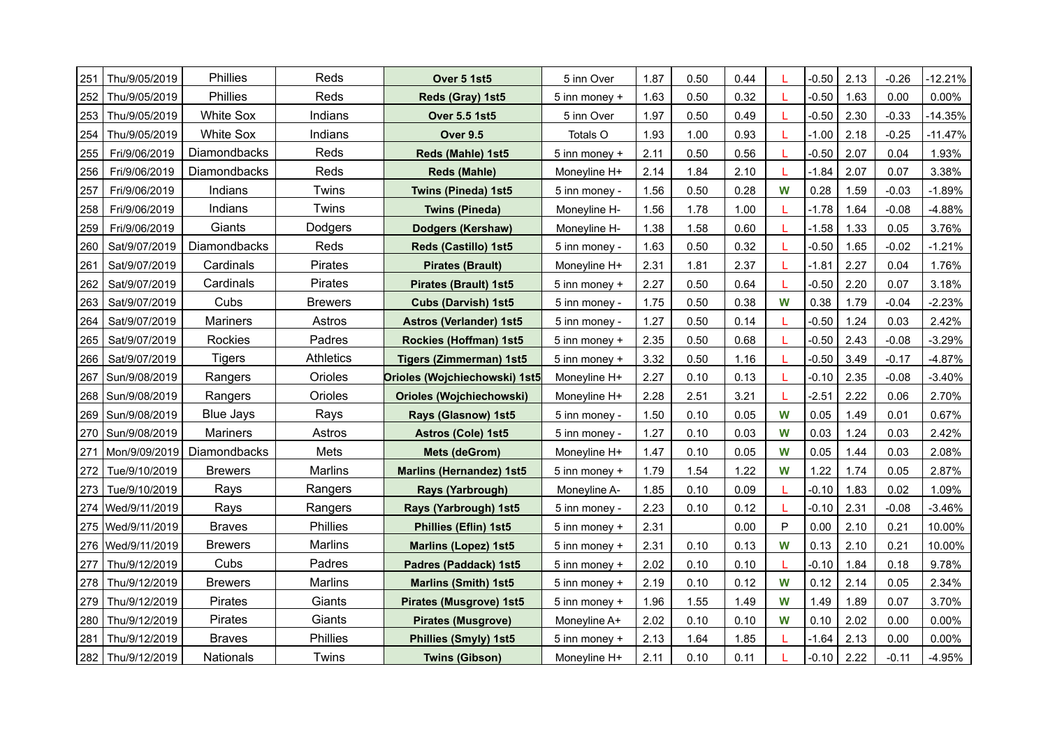| 251 | Thu/9/05/2019       | Phillies         | Reds             | Over 5 1st5                     | 5 inn Over    | 1.87 | 0.50 | 0.44 |              | $-0.50$ | 2.13 | $-0.26$ | -12.21%   |
|-----|---------------------|------------------|------------------|---------------------------------|---------------|------|------|------|--------------|---------|------|---------|-----------|
| 252 | Thu/9/05/2019       | <b>Phillies</b>  | Reds             | Reds (Gray) 1st5                | 5 inn money + | 1.63 | 0.50 | 0.32 |              | $-0.50$ | 1.63 | 0.00    | $0.00\%$  |
| 253 | Thu/9/05/2019       | <b>White Sox</b> | Indians          | <b>Over 5.5 1st5</b>            | 5 inn Over    | 1.97 | 0.50 | 0.49 |              | $-0.50$ | 2.30 | $-0.33$ | $-14.35%$ |
| 254 | Thu/9/05/2019       | <b>White Sox</b> | Indians          | <b>Over 9.5</b>                 | Totals O      | 1.93 | 1.00 | 0.93 |              | $-1.00$ | 2.18 | $-0.25$ | $-11.47%$ |
| 255 | Fri/9/06/2019       | Diamondbacks     | Reds             | Reds (Mahle) 1st5               | 5 inn money + | 2.11 | 0.50 | 0.56 |              | $-0.50$ | 2.07 | 0.04    | 1.93%     |
| 256 | Fri/9/06/2019       | Diamondbacks     | Reds             | <b>Reds (Mahle)</b>             | Moneyline H+  | 2.14 | 1.84 | 2.10 |              | $-1.84$ | 2.07 | 0.07    | 3.38%     |
| 257 | Fri/9/06/2019       | Indians          | Twins            | Twins (Pineda) 1st5             | 5 inn money - | 1.56 | 0.50 | 0.28 | W            | 0.28    | 1.59 | $-0.03$ | $-1.89%$  |
| 258 | Fri/9/06/2019       | Indians          | Twins            | <b>Twins (Pineda)</b>           | Moneyline H-  | 1.56 | 1.78 | 1.00 |              | $-1.78$ | 1.64 | $-0.08$ | $-4.88%$  |
| 259 | Fri/9/06/2019       | Giants           | Dodgers          | Dodgers (Kershaw)               | Moneyline H-  | 1.38 | 1.58 | 0.60 |              | $-1.58$ | 1.33 | 0.05    | 3.76%     |
| 260 | Sat/9/07/2019       | Diamondbacks     | Reds             | Reds (Castillo) 1st5            | 5 inn money - | 1.63 | 0.50 | 0.32 |              | $-0.50$ | 1.65 | $-0.02$ | $-1.21%$  |
| 261 | Sat/9/07/2019       | Cardinals        | <b>Pirates</b>   | <b>Pirates (Brault)</b>         | Moneyline H+  | 2.31 | 1.81 | 2.37 |              | $-1.81$ | 2.27 | 0.04    | 1.76%     |
| 262 | Sat/9/07/2019       | Cardinals        | Pirates          | <b>Pirates (Brault) 1st5</b>    | 5 inn money + | 2.27 | 0.50 | 0.64 |              | $-0.50$ | 2.20 | 0.07    | 3.18%     |
| 263 | Sat/9/07/2019       | Cubs             | <b>Brewers</b>   | <b>Cubs (Darvish) 1st5</b>      | 5 inn money - | 1.75 | 0.50 | 0.38 | W            | 0.38    | 1.79 | $-0.04$ | $-2.23%$  |
| 264 | Sat/9/07/2019       | <b>Mariners</b>  | Astros           | <b>Astros (Verlander) 1st5</b>  | 5 inn money - | 1.27 | 0.50 | 0.14 |              | $-0.50$ | 1.24 | 0.03    | 2.42%     |
| 265 | Sat/9/07/2019       | Rockies          | Padres           | Rockies (Hoffman) 1st5          | 5 inn money + | 2.35 | 0.50 | 0.68 |              | $-0.50$ | 2.43 | $-0.08$ | $-3.29%$  |
| 266 | Sat/9/07/2019       | <b>Tigers</b>    | <b>Athletics</b> | <b>Tigers (Zimmerman) 1st5</b>  | 5 inn money + | 3.32 | 0.50 | 1.16 |              | $-0.50$ | 3.49 | $-0.17$ | $-4.87%$  |
| 267 | Sun/9/08/2019       | Rangers          | Orioles          | Orioles (Wojchiechowski) 1st5   | Moneyline H+  | 2.27 | 0.10 | 0.13 |              | $-0.10$ | 2.35 | $-0.08$ | $-3.40%$  |
| 268 | Sun/9/08/2019       | Rangers          | Orioles          | Orioles (Wojchiechowski)        | Moneyline H+  | 2.28 | 2.51 | 3.21 |              | $-2.51$ | 2.22 | 0.06    | 2.70%     |
| 269 | Sun/9/08/2019       | <b>Blue Jays</b> | Rays             | Rays (Glasnow) 1st5             | 5 inn money - | 1.50 | 0.10 | 0.05 | W            | 0.05    | 1.49 | 0.01    | 0.67%     |
| 270 | Sun/9/08/2019       | <b>Mariners</b>  | Astros           | <b>Astros (Cole) 1st5</b>       | 5 inn money - | 1.27 | 0.10 | 0.03 | W            | 0.03    | 1.24 | 0.03    | 2.42%     |
| 271 | Mon/9/09/2019       | Diamondbacks     | Mets             | <b>Mets (deGrom)</b>            | Moneyline H+  | 1.47 | 0.10 | 0.05 | W            | 0.05    | 1.44 | 0.03    | 2.08%     |
| 272 | Tue/9/10/2019       | <b>Brewers</b>   | Marlins          | <b>Marlins (Hernandez) 1st5</b> | 5 inn money + | 1.79 | 1.54 | 1.22 | W            | 1.22    | 1.74 | 0.05    | 2.87%     |
| 273 | Tue/9/10/2019       | Rays             | Rangers          | Rays (Yarbrough)                | Moneyline A-  | 1.85 | 0.10 | 0.09 |              | $-0.10$ | 1.83 | 0.02    | 1.09%     |
| 274 | Wed/9/11/2019       | Rays             | Rangers          | Rays (Yarbrough) 1st5           | 5 inn money - | 2.23 | 0.10 | 0.12 |              | $-0.10$ | 2.31 | $-0.08$ | $-3.46%$  |
| 275 | Wed/9/11/2019       | <b>Braves</b>    | <b>Phillies</b>  | <b>Phillies (Eflin) 1st5</b>    | 5 inn money + | 2.31 |      | 0.00 | $\mathsf{P}$ | 0.00    | 2.10 | 0.21    | 10.00%    |
| 276 | Wed/9/11/2019       | <b>Brewers</b>   | Marlins          | <b>Marlins (Lopez) 1st5</b>     | 5 inn money + | 2.31 | 0.10 | 0.13 | W            | 0.13    | 2.10 | 0.21    | 10.00%    |
| 277 | Thu/9/12/2019       | Cubs             | Padres           | Padres (Paddack) 1st5           | 5 inn money + | 2.02 | 0.10 | 0.10 |              | $-0.10$ | 1.84 | 0.18    | 9.78%     |
| 278 | Thu/9/12/2019       | <b>Brewers</b>   | Marlins          | <b>Marlins (Smith) 1st5</b>     | 5 inn money + | 2.19 | 0.10 | 0.12 | W            | 0.12    | 2.14 | 0.05    | 2.34%     |
| 279 | Thu/9/12/2019       | Pirates          | Giants           | <b>Pirates (Musgrove) 1st5</b>  | 5 inn money + | 1.96 | 1.55 | 1.49 | W            | 1.49    | 1.89 | 0.07    | 3.70%     |
| 280 | Thu/9/12/2019       | Pirates          | Giants           | <b>Pirates (Musgrove)</b>       | Moneyline A+  | 2.02 | 0.10 | 0.10 | W            | 0.10    | 2.02 | 0.00    | $0.00\%$  |
| 281 | Thu/9/12/2019       | <b>Braves</b>    | Phillies         | <b>Phillies (Smyly) 1st5</b>    | 5 inn money + | 2.13 | 1.64 | 1.85 |              | $-1.64$ | 2.13 | 0.00    | $0.00\%$  |
|     | 282   Thu/9/12/2019 | <b>Nationals</b> | Twins            | <b>Twins (Gibson)</b>           | Moneyline H+  | 2.11 | 0.10 | 0.11 |              | $-0.10$ | 2.22 | $-0.11$ | $-4.95%$  |